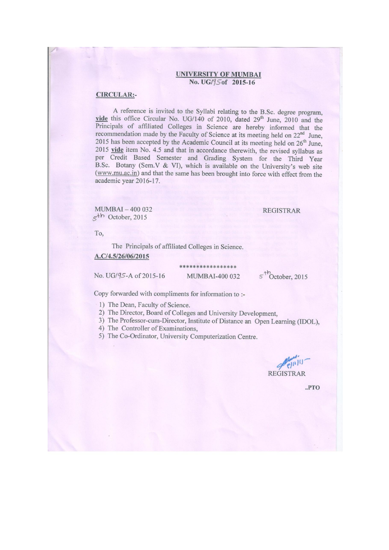#### **UNIVERSITY OF MUMBAI** No. UG/95of 2015-16

#### **CIRCULAR:-**

A reference is invited to the Syllabi relating to the B.Sc. degree program, vide this office Circular No. UG/140 of 2010, dated 29<sup>th</sup> June, 2010 and the Principals of affiliated Colleges in Science are hereby informed that the recommendation made by the Faculty of Science at its meeting held on 22<sup>nd</sup> June, 2015 has been accepted by the Academic Council at its meeting held on 26<sup>th</sup> June. 2015 vide item No. 4.5 and that in accordance therewith, the revised syllabus as per Credit Based Semester and Grading System for the Third Year B.Sc. Botany (Sem.V & VI), which is available on the University's web site (www.mu.ac.in) and that the same has been brought into force with effect from the academic year 2016-17.

MUMBAI-400 032  $5^{th}$  October, 2015

#### **REGISTRAR**

To.

The Principals of affiliated Colleges in Science.

A.C/4.5/26/06/2015

No. UG/95-A of 2015-16

\*\*\*\*\*\*\*\*\*\*\*\*\*\*\* MUMBAI-400 032

 $5^{th}$ October, 2015

Copy forwarded with compliments for information to :-

- 1) The Dean, Faculty of Science.
- 2) The Director, Board of Colleges and University Development,
- 3) The Professor-cum-Director, Institute of Distance an Open Learning (IDOL),
- 4) The Controller of Examinations,
- 5) The Co-Ordinator, University Computerization Centre.

**REGISTRAR** 

 $.PTO$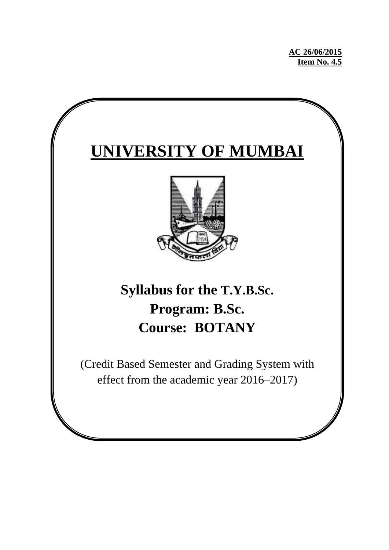**AC 26/06/2015 Item No. 4.5**

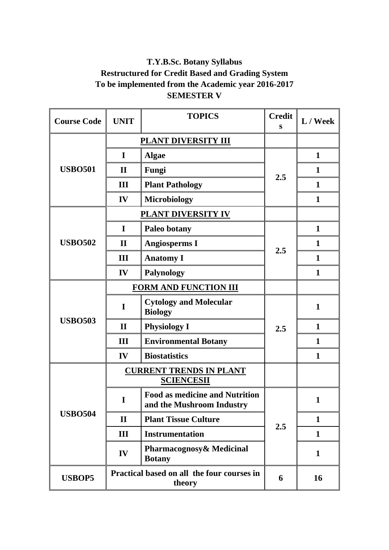# **T.Y.B.Sc. Botany Syllabus Restructured for Credit Based and Grading System To be implemented from the Academic year 2016-2017 SEMESTER V**

| <b>Course Code</b> | <b>UNIT</b>   | <b>TOPICS</b>                                                      | <b>Credit</b><br>S | L / Week     |
|--------------------|---------------|--------------------------------------------------------------------|--------------------|--------------|
|                    |               | PLANT DIVERSITY III                                                |                    |              |
|                    | $\mathbf I$   | <b>Algae</b>                                                       |                    | $\mathbf{1}$ |
| <b>USBO501</b>     | $\mathbf{I}$  | Fungi                                                              | 2.5                | 1            |
|                    | Ш             | <b>Plant Pathology</b>                                             |                    | 1            |
|                    | IV            | <b>Microbiology</b>                                                |                    | 1            |
|                    |               | <b>PLANT DIVERSITY IV</b>                                          |                    |              |
|                    | $\bf{I}$      | Paleo botany                                                       |                    | $\mathbf{1}$ |
| <b>USBO502</b>     | $\mathbf{I}$  | <b>Angiosperms I</b>                                               | 2.5                | 1            |
|                    | Ш             | <b>Anatomy I</b>                                                   |                    | 1            |
|                    | IV            | Palynology                                                         |                    | $\mathbf{1}$ |
|                    |               | <b>FORM AND FUNCTION III</b>                                       |                    |              |
|                    | I             | <b>Cytology and Molecular</b><br><b>Biology</b>                    |                    | 1            |
| <b>USBO503</b>     | $\mathbf{I}$  | <b>Physiology I</b>                                                | 2.5                | 1            |
|                    | Ш             | <b>Environmental Botany</b>                                        |                    | 1            |
|                    | IV            | <b>Biostatistics</b>                                               |                    | 1            |
|                    |               | <b>CURRENT TRENDS IN PLANT</b><br><b>SCIENCESII</b>                |                    |              |
| <b>USBO504</b>     |               | <b>Food as medicine and Nutrition</b><br>and the Mushroom Industry |                    |              |
|                    | $\mathbf{I}$  | <b>Plant Tissue Culture</b>                                        | 2.5                | $\mathbf{1}$ |
|                    | III           | <b>Instrumentation</b>                                             |                    | 1            |
|                    | $\mathbf{IV}$ | <b>Pharmacognosy &amp; Medicinal</b><br><b>Botany</b>              |                    | 1            |
| <b>USBOP5</b>      |               | Practical based on all the four courses in<br>theory               | 6                  | 16           |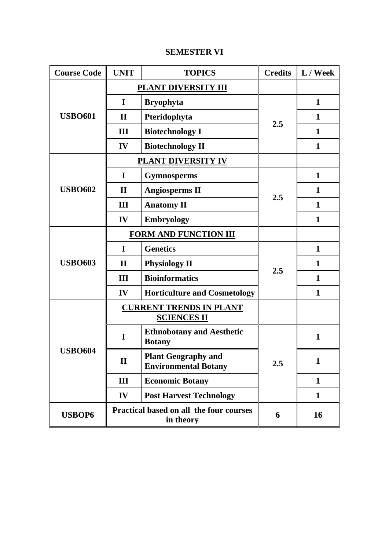## **SEMESTER VI**

| <b>Course Code</b> | <b>UNIT</b>   | <b>TOPICS</b>                                             | <b>Credits</b> | L / Week     |
|--------------------|---------------|-----------------------------------------------------------|----------------|--------------|
|                    |               | PLANT DIVERSITY III                                       |                |              |
|                    | I             | <b>Bryophyta</b>                                          |                | 1            |
| <b>USBO601</b>     | $\mathbf{I}$  | Pteridophyta                                              |                | 1            |
|                    | III           | <b>Biotechnology I</b>                                    | 2.5            | 1            |
|                    | IV            | <b>Biotechnology II</b>                                   |                | $\mathbf{1}$ |
|                    |               | PLANT DIVERSITY IV                                        |                |              |
|                    | I             | <b>Gymnosperms</b>                                        |                | $\mathbf{1}$ |
| <b>USBO602</b>     | $\mathbf{I}$  | <b>Angiosperms II</b>                                     | 2.5            | 1            |
|                    | III           | <b>Anatomy II</b>                                         |                | 1            |
|                    | IV            | <b>Embryology</b>                                         |                | 1            |
|                    |               | <b>FORM AND FUNCTION III</b>                              |                |              |
|                    | $\mathbf I$   | <b>Genetics</b>                                           |                | $\mathbf{1}$ |
| <b>USBO603</b>     | $\mathbf{I}$  | <b>Physiology II</b>                                      | 2.5            | $\mathbf{1}$ |
|                    | III           | <b>Bioinformatics</b>                                     |                | $\mathbf{1}$ |
|                    | $\mathbf{IV}$ | <b>Horticulture and Cosmetology</b>                       |                | $\mathbf{1}$ |
|                    |               | <b>CURRENT TRENDS IN PLANT</b><br><b>SCIENCES II</b>      |                |              |
| <b>USBO604</b>     | I             | <b>Ethnobotany and Aesthetic</b><br><b>Botany</b>         |                | 1            |
|                    | $\mathbf{I}$  | <b>Plant Geography and</b><br><b>Environmental Botany</b> | $2.5\,$        | 1            |
|                    | III           | <b>Economic Botany</b>                                    |                | $\mathbf{1}$ |
|                    | $\mathbf{IV}$ | <b>Post Harvest Technology</b>                            |                | $\mathbf{1}$ |
| <b>USBOP6</b>      |               | Practical based on all the four courses<br>in theory      | 6              | 16           |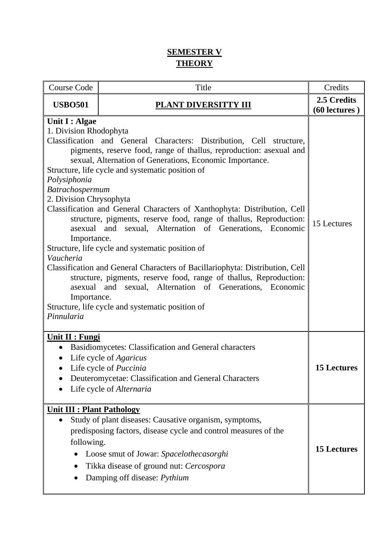# **SEMESTER V THEORY**

| <b>Course Code</b>                                                                                                                                              | Title                                                                                                                                                                                                                                                                                                                                                                                                                                                                                                                                                                                                                                                                                                                                                                                               | Credits                      |
|-----------------------------------------------------------------------------------------------------------------------------------------------------------------|-----------------------------------------------------------------------------------------------------------------------------------------------------------------------------------------------------------------------------------------------------------------------------------------------------------------------------------------------------------------------------------------------------------------------------------------------------------------------------------------------------------------------------------------------------------------------------------------------------------------------------------------------------------------------------------------------------------------------------------------------------------------------------------------------------|------------------------------|
| <b>USBO501</b>                                                                                                                                                  | <b>PLANT DIVERSITTY III</b>                                                                                                                                                                                                                                                                                                                                                                                                                                                                                                                                                                                                                                                                                                                                                                         | 2.5 Credits<br>(60 lectures) |
| Unit I : Algae<br>1. Division Rhodophyta<br>Polysiphonia<br>Batrachospermum<br>2. Division Chrysophyta<br>Importance.<br>Vaucheria<br>Importance.<br>Pinnularia | Classification and General Characters: Distribution, Cell structure,<br>pigments, reserve food, range of thallus, reproduction: asexual and<br>sexual, Alternation of Generations, Economic Importance.<br>Structure, life cycle and systematic position of<br>Classification and General Characters of Xanthophyta: Distribution, Cell<br>structure, pigments, reserve food, range of thallus, Reproduction:<br>asexual and sexual, Alternation of Generations, Economic<br>Structure, life cycle and systematic position of<br>Classification and General Characters of Bacillariophyta: Distribution, Cell<br>structure, pigments, reserve food, range of thallus, Reproduction:<br>asexual and sexual, Alternation of Generations, Economic<br>Structure, life cycle and systematic position of | 15 Lectures                  |
| <b>Unit II : Fungi</b><br>$\bullet$<br>$\bullet$                                                                                                                | Basidiomycetes: Classification and General characters<br>Life cycle of <i>Agaricus</i><br>Life cycle of <i>Puccinia</i><br>Deuteromycetae: Classification and General Characters<br>Life cycle of Alternaria                                                                                                                                                                                                                                                                                                                                                                                                                                                                                                                                                                                        | <b>15 Lectures</b>           |
| <b>Unit III : Plant Pathology</b><br>following.                                                                                                                 | Study of plant diseases: Causative organism, symptoms,<br>predisposing factors, disease cycle and control measures of the<br>Loose smut of Jowar: Spacelothecasorghi<br>Tikka disease of ground nut: Cercospora<br>Damping off disease: Pythium                                                                                                                                                                                                                                                                                                                                                                                                                                                                                                                                                     | <b>15 Lectures</b>           |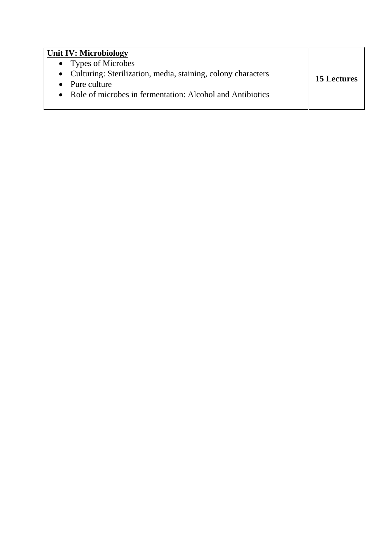| <b>Unit IV: Microbiology</b>                                   |                    |
|----------------------------------------------------------------|--------------------|
| • Types of Microbes                                            |                    |
| • Culturing: Sterilization, media, staining, colony characters | <b>15 Lectures</b> |
| Pure culture                                                   |                    |
| Role of microbes in fermentation: Alcohol and Antibiotics      |                    |
|                                                                |                    |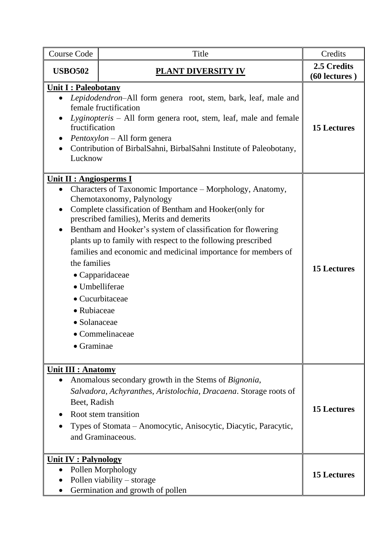| <b>Course Code</b>                                                                                                                  | Title                                                                                                                                                                                                                                                                                                                                                                                                                                                                    | Credits                           |
|-------------------------------------------------------------------------------------------------------------------------------------|--------------------------------------------------------------------------------------------------------------------------------------------------------------------------------------------------------------------------------------------------------------------------------------------------------------------------------------------------------------------------------------------------------------------------------------------------------------------------|-----------------------------------|
| <b>USBO502</b><br><b>PLANT DIVERSITY IV</b>                                                                                         |                                                                                                                                                                                                                                                                                                                                                                                                                                                                          | 2.5 Credits<br>$(60$ lectures $)$ |
| <b>Unit I: Paleobotany</b><br>fructification<br>Lucknow                                                                             | Lepidodendron-All form genera root, stem, bark, leaf, male and<br>female fructification<br>Lyginopteris – All form genera root, stem, leaf, male and female<br><i>Pentoxylon</i> – All form genera<br>Contribution of BirbalSahni, BirbalSahni Institute of Paleobotany,                                                                                                                                                                                                 | <b>15 Lectures</b>                |
| <u> Unit II : Angiosperms I</u><br>$\bullet$<br>$\bullet$<br>$\bullet$<br>the families<br>• Rubiaceae<br>• Solanaceae<br>• Graminae | Characters of Taxonomic Importance - Morphology, Anatomy,<br>Chemotaxonomy, Palynology<br>Complete classification of Bentham and Hooker(only for<br>prescribed families), Merits and demerits<br>Bentham and Hooker's system of classification for flowering<br>plants up to family with respect to the following prescribed<br>families and economic and medicinal importance for members of<br>• Capparidaceae<br>• Umbelliferae<br>• Cucurbitaceae<br>• Commelinaceae | <b>15 Lectures</b>                |
| <b>Unit III : Anatomy</b><br>Beet, Radish                                                                                           | Anomalous secondary growth in the Stems of Bignonia,<br>Salvadora, Achyranthes, Aristolochia, Dracaena. Storage roots of<br>Root stem transition<br>Types of Stomata - Anomocytic, Anisocytic, Diacytic, Paracytic,<br>and Graminaceous.                                                                                                                                                                                                                                 | <b>15 Lectures</b>                |
| <b>Unit IV : Palynology</b>                                                                                                         | Pollen Morphology<br>Pollen viability – storage<br>Germination and growth of pollen                                                                                                                                                                                                                                                                                                                                                                                      | <b>15 Lectures</b>                |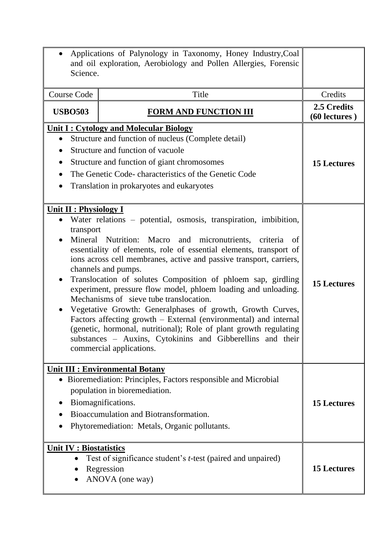| $\bullet$<br>Science.                                                                                                                                                                                                                                                                                                                                                                                                                                                                                                                                                                                                                                                                                                                                                                                                                                                       | Applications of Palynology in Taxonomy, Honey Industry, Coal<br>and oil exploration, Aerobiology and Pollen Allergies, Forensic                                                                                                                             |                                   |
|-----------------------------------------------------------------------------------------------------------------------------------------------------------------------------------------------------------------------------------------------------------------------------------------------------------------------------------------------------------------------------------------------------------------------------------------------------------------------------------------------------------------------------------------------------------------------------------------------------------------------------------------------------------------------------------------------------------------------------------------------------------------------------------------------------------------------------------------------------------------------------|-------------------------------------------------------------------------------------------------------------------------------------------------------------------------------------------------------------------------------------------------------------|-----------------------------------|
| <b>Course Code</b>                                                                                                                                                                                                                                                                                                                                                                                                                                                                                                                                                                                                                                                                                                                                                                                                                                                          | Title                                                                                                                                                                                                                                                       | Credits                           |
| <b>USBO503</b>                                                                                                                                                                                                                                                                                                                                                                                                                                                                                                                                                                                                                                                                                                                                                                                                                                                              | <b>FORM AND FUNCTION III</b>                                                                                                                                                                                                                                | 2.5 Credits<br>$(60$ lectures $)$ |
|                                                                                                                                                                                                                                                                                                                                                                                                                                                                                                                                                                                                                                                                                                                                                                                                                                                                             | <b>Unit I: Cytology and Molecular Biology</b>                                                                                                                                                                                                               |                                   |
| $\bullet$                                                                                                                                                                                                                                                                                                                                                                                                                                                                                                                                                                                                                                                                                                                                                                                                                                                                   | Structure and function of nucleus (Complete detail)                                                                                                                                                                                                         |                                   |
| $\bullet$                                                                                                                                                                                                                                                                                                                                                                                                                                                                                                                                                                                                                                                                                                                                                                                                                                                                   | Structure and function of vacuole                                                                                                                                                                                                                           |                                   |
| $\bullet$                                                                                                                                                                                                                                                                                                                                                                                                                                                                                                                                                                                                                                                                                                                                                                                                                                                                   | Structure and function of giant chromosomes                                                                                                                                                                                                                 | <b>15 Lectures</b>                |
| $\bullet$                                                                                                                                                                                                                                                                                                                                                                                                                                                                                                                                                                                                                                                                                                                                                                                                                                                                   | The Genetic Code-characteristics of the Genetic Code                                                                                                                                                                                                        |                                   |
| $\bullet$                                                                                                                                                                                                                                                                                                                                                                                                                                                                                                                                                                                                                                                                                                                                                                                                                                                                   | Translation in prokaryotes and eukaryotes                                                                                                                                                                                                                   |                                   |
| <b>Unit II : Physiology I</b><br>Water relations – potential, osmosis, transpiration, imbibition,<br>$\bullet$<br>transport<br>Mineral Nutrition: Macro and micronutrients,<br>criteria<br>$\bullet$<br>-of-<br>essentiality of elements, role of essential elements, transport of<br>ions across cell membranes, active and passive transport, carriers,<br>channels and pumps.<br>Translocation of solutes Composition of phloem sap, girdling<br>$\bullet$<br>experiment, pressure flow model, phloem loading and unloading.<br>Mechanisms of sieve tube translocation.<br>Vegetative Growth: Generalphases of growth, Growth Curves,<br>Factors affecting growth – External (environmental) and internal<br>(genetic, hormonal, nutritional); Role of plant growth regulating<br>substances – Auxins, Cytokinins and Gibberellins and their<br>commercial applications. |                                                                                                                                                                                                                                                             | <b>15 Lectures</b>                |
| $\bullet$                                                                                                                                                                                                                                                                                                                                                                                                                                                                                                                                                                                                                                                                                                                                                                                                                                                                   | <b>Unit III : Environmental Botany</b><br>• Bioremediation: Principles, Factors responsible and Microbial<br>population in bioremediation.<br>Biomagnifications.<br>Bioaccumulation and Biotransformation.<br>Phytoremediation: Metals, Organic pollutants. | <b>15 Lectures</b>                |
| <b>Unit IV : Biostatistics</b>                                                                                                                                                                                                                                                                                                                                                                                                                                                                                                                                                                                                                                                                                                                                                                                                                                              | Test of significance student's <i>t</i> -test (paired and unpaired)<br>Regression<br>ANOVA (one way)                                                                                                                                                        | <b>15 Lectures</b>                |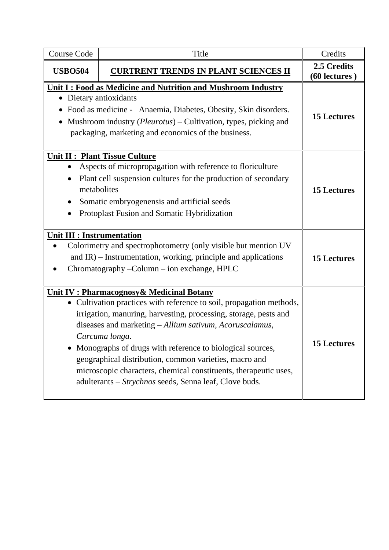| <b>Course Code</b>                               | Title                                                                                                                                                                                                                                                                                                                                                                                                                                                                                                                              | Credits                      |
|--------------------------------------------------|------------------------------------------------------------------------------------------------------------------------------------------------------------------------------------------------------------------------------------------------------------------------------------------------------------------------------------------------------------------------------------------------------------------------------------------------------------------------------------------------------------------------------------|------------------------------|
| <b>USBO504</b>                                   | <b>CURTRENT TRENDS IN PLANT SCIENCES II</b>                                                                                                                                                                                                                                                                                                                                                                                                                                                                                        | 2.5 Credits<br>(60 lectures) |
| • Dietary antioxidants                           | Unit I: Food as Medicine and Nutrition and Mushroom Industry<br>Food as medicine - Anaemia, Diabetes, Obesity, Skin disorders.<br>Mushroom industry ( <i>Pleurotus</i> ) – Cultivation, types, picking and<br>packaging, marketing and economics of the business.                                                                                                                                                                                                                                                                  | <b>15 Lectures</b>           |
| $\bullet$<br>$\bullet$<br>$\bullet$<br>$\bullet$ | <b>Unit II : Plant Tissue Culture</b><br>Aspects of micropropagation with reference to floriculture<br>Plant cell suspension cultures for the production of secondary<br>metabolites<br>Somatic embryogenensis and artificial seeds<br>Protoplast Fusion and Somatic Hybridization                                                                                                                                                                                                                                                 | <b>15 Lectures</b>           |
| <b>Unit III : Instrumentation</b>                | Colorimetry and spectrophotometry (only visible but mention UV<br>and $IR$ ) – Instrumentation, working, principle and applications<br>Chromatography - Column - ion exchange, HPLC                                                                                                                                                                                                                                                                                                                                                | <b>15 Lectures</b>           |
|                                                  | <b>Unit IV: Pharmacognosy &amp; Medicinal Botany</b><br>• Cultivation practices with reference to soil, propagation methods,<br>irrigation, manuring, harvesting, processing, storage, pests and<br>diseases and marketing - Allium sativum, Acoruscalamus,<br>Curcuma longa.<br>Monographs of drugs with reference to biological sources,<br>geographical distribution, common varieties, macro and<br>microscopic characters, chemical constituents, therapeutic uses,<br>adulterants - Strychnos seeds, Senna leaf, Clove buds. | <b>15 Lectures</b>           |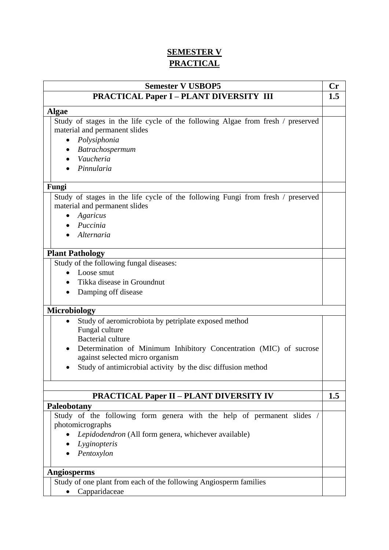# **SEMESTER V PRACTICAL**

| <b>Semester V USBOP5</b>                                                                                                                                                                                                                                                    |     |
|-----------------------------------------------------------------------------------------------------------------------------------------------------------------------------------------------------------------------------------------------------------------------------|-----|
| <b>PRACTICAL Paper I - PLANT DIVERSITY III</b>                                                                                                                                                                                                                              | 1.5 |
| <b>Algae</b>                                                                                                                                                                                                                                                                |     |
| Study of stages in the life cycle of the following Algae from fresh / preserved<br>material and permanent slides<br>Polysiphonia<br>Batrachospermum<br>Vaucheria<br>Pinnularia                                                                                              |     |
| Fungi                                                                                                                                                                                                                                                                       |     |
| Study of stages in the life cycle of the following Fungi from fresh / preserved<br>material and permanent slides<br>Agaricus<br>Puccinia<br>Alternaria                                                                                                                      |     |
| <b>Plant Pathology</b>                                                                                                                                                                                                                                                      |     |
| Study of the following fungal diseases:<br>Loose smut<br>Tikka disease in Groundnut<br>Damping off disease                                                                                                                                                                  |     |
| <b>Microbiology</b>                                                                                                                                                                                                                                                         |     |
| Study of aeromicrobiota by petriplate exposed method<br>Fungal culture<br><b>Bacterial</b> culture<br>Determination of Minimum Inhibitory Concentration (MIC) of sucrose<br>against selected micro organism<br>Study of antimicrobial activity by the disc diffusion method |     |
|                                                                                                                                                                                                                                                                             | 1.5 |
| <b>PRACTICAL Paper II - PLANT DIVERSITY IV</b><br>Paleobotany                                                                                                                                                                                                               |     |
| Study of the following form genera with the help of permanent slides /<br>photomicrographs<br>Lepidodendron (All form genera, whichever available)<br>Lyginopteris<br>Pentoxylon                                                                                            |     |
| <b>Angiosperms</b>                                                                                                                                                                                                                                                          |     |
| Study of one plant from each of the following Angiosperm families<br>Capparidaceae                                                                                                                                                                                          |     |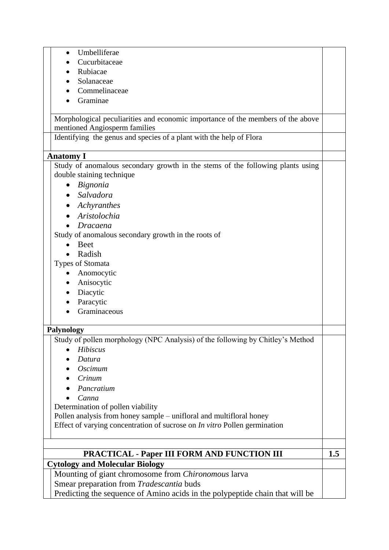| <b>Cytology and Molecular Biology</b>                                                                       |     |
|-------------------------------------------------------------------------------------------------------------|-----|
| <b>PRACTICAL - Paper III FORM AND FUNCTION III</b>                                                          | 1.5 |
|                                                                                                             |     |
| Effect of varying concentration of sucrose on In vitro Pollen germination                                   |     |
| Pollen analysis from honey sample – unifloral and multifloral honey                                         |     |
| Determination of pollen viability                                                                           |     |
| Canna                                                                                                       |     |
| Pancratium                                                                                                  |     |
| Crinum                                                                                                      |     |
| Datura<br><b>Oscimum</b>                                                                                    |     |
| Hibiscus                                                                                                    |     |
| Study of pollen morphology (NPC Analysis) of the following by Chitley's Method                              |     |
| Palynology                                                                                                  |     |
|                                                                                                             |     |
| Graminaceous                                                                                                |     |
| Paracytic                                                                                                   |     |
| Diacytic                                                                                                    |     |
| Anomocytic<br>Anisocytic                                                                                    |     |
| Types of Stomata                                                                                            |     |
|                                                                                                             |     |
| <b>Beet</b><br>Radish                                                                                       |     |
| Study of anomalous secondary growth in the roots of                                                         |     |
| Dracaena                                                                                                    |     |
| Aristolochia                                                                                                |     |
| Achyranthes                                                                                                 |     |
|                                                                                                             |     |
| Bignonia<br>Salvadora                                                                                       |     |
|                                                                                                             |     |
| Study of anomalous secondary growth in the stems of the following plants using<br>double staining technique |     |
| <b>Anatomy I</b>                                                                                            |     |
|                                                                                                             |     |
| Identifying the genus and species of a plant with the help of Flora                                         |     |
| mentioned Angiosperm families                                                                               |     |
| Morphological peculiarities and economic importance of the members of the above                             |     |
| Graminae                                                                                                    |     |
| Commelinaceae                                                                                               |     |
| Solanaceae                                                                                                  |     |
| Rubiacae                                                                                                    |     |
| Cucurbitaceae                                                                                               |     |
| Umbelliferae                                                                                                |     |
|                                                                                                             |     |

Mounting of giant chromosome from *Chironomous* larva Smear preparation from *Tradescantia* buds

Predicting the sequence of Amino acids in the polypeptide chain that will be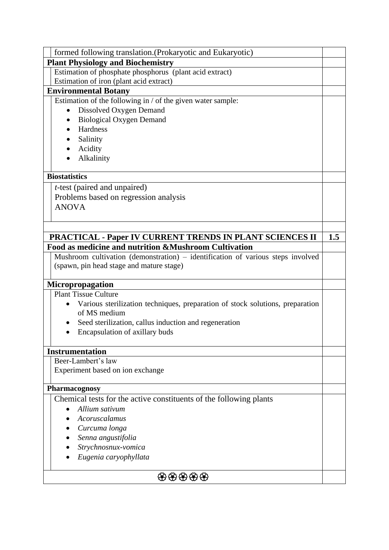| formed following translation.(Prokaryotic and Eukaryotic)                                  |     |
|--------------------------------------------------------------------------------------------|-----|
| <b>Plant Physiology and Biochemistry</b>                                                   |     |
| Estimation of phosphate phosphorus (plant acid extract)                                    |     |
| Estimation of iron (plant acid extract)                                                    |     |
| <b>Environmental Botany</b>                                                                |     |
| Estimation of the following in / of the given water sample:                                |     |
| Dissolved Oxygen Demand<br>٠                                                               |     |
| <b>Biological Oxygen Demand</b>                                                            |     |
| Hardness                                                                                   |     |
| Salinity                                                                                   |     |
| Acidity                                                                                    |     |
| Alkalinity<br>$\bullet$                                                                    |     |
| <b>Biostatistics</b>                                                                       |     |
|                                                                                            |     |
| t-test (paired and unpaired)                                                               |     |
| Problems based on regression analysis<br><b>ANOVA</b>                                      |     |
|                                                                                            |     |
|                                                                                            |     |
| PRACTICAL - Paper IV CURRENT TRENDS IN PLANT SCIENCES II                                   | 1.5 |
| Food as medicine and nutrition &Mushroom Cultivation                                       |     |
| Mushroom cultivation (demonstration) – identification of various steps involved            |     |
| (spawn, pin head stage and mature stage)                                                   |     |
|                                                                                            |     |
| Micropropagation                                                                           |     |
| <b>Plant Tissue Culture</b>                                                                |     |
| Various sterilization techniques, preparation of stock solutions, preparation<br>$\bullet$ |     |
| of MS medium                                                                               |     |
| Seed sterilization, callus induction and regeneration<br>$\bullet$                         |     |
| Encapsulation of axillary buds                                                             |     |
|                                                                                            |     |
| <b>Instrumentation</b>                                                                     |     |
| Beer-Lambert's law                                                                         |     |
| Experiment based on ion exchange                                                           |     |
| <b>Pharmacognosy</b>                                                                       |     |
| Chemical tests for the active constituents of the following plants                         |     |
| Allium sativum                                                                             |     |
| Acoruscalamus                                                                              |     |
| Curcuma longa                                                                              |     |
| Senna angustifolia                                                                         |     |
| Strychnosnux-vomica                                                                        |     |
| Eugenia caryophyllata                                                                      |     |
|                                                                                            |     |
| 密密密密密                                                                                      |     |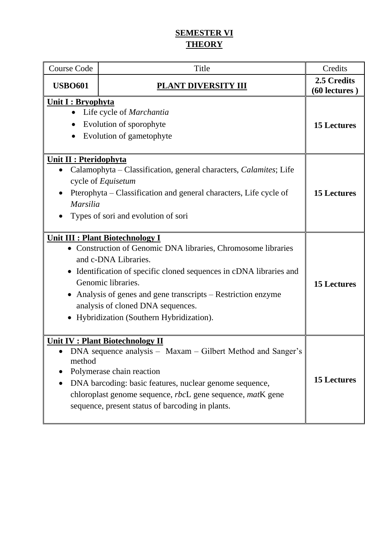# **SEMESTER VI THEORY**

| <b>Course Code</b>                               | Title                                                                                                                                                                                                                                                                                                                                                                          | Credits                      |
|--------------------------------------------------|--------------------------------------------------------------------------------------------------------------------------------------------------------------------------------------------------------------------------------------------------------------------------------------------------------------------------------------------------------------------------------|------------------------------|
| <b>USBO601</b>                                   | <b>PLANT DIVERSITY III</b>                                                                                                                                                                                                                                                                                                                                                     | 2.5 Credits<br>(60 lectures) |
| Unit I : Bryophyta<br>$\bullet$<br>$\bullet$     | Life cycle of Marchantia<br>Evolution of sporophyte<br>Evolution of gametophyte                                                                                                                                                                                                                                                                                                | <b>15 Lectures</b>           |
| <b>Unit II : Pteridophyta</b><br><b>Marsilia</b> | Calamophyta – Classification, general characters, Calamites; Life<br>cycle of Equisetum<br>Pterophyta – Classification and general characters, Life cycle of<br>Types of sori and evolution of sori                                                                                                                                                                            | <b>15 Lectures</b>           |
|                                                  | <b>Unit III : Plant Biotechnology I</b><br>• Construction of Genomic DNA libraries, Chromosome libraries<br>and c-DNA Libraries.<br>• Identification of specific cloned sequences in cDNA libraries and<br>Genomic libraries.<br>• Analysis of genes and gene transcripts – Restriction enzyme<br>analysis of cloned DNA sequences.<br>Hybridization (Southern Hybridization). | <b>15 Lectures</b>           |
| method                                           | <b>Unit IV: Plant Biotechnology II</b><br>• DNA sequence analysis – Maxam – Gilbert Method and Sanger's<br>Polymerase chain reaction<br>DNA barcoding: basic features, nuclear genome sequence,<br>chloroplast genome sequence, <i>rbc</i> L gene sequence, <i>mat</i> K gene<br>sequence, present status of barcoding in plants.                                              | <b>15 Lectures</b>           |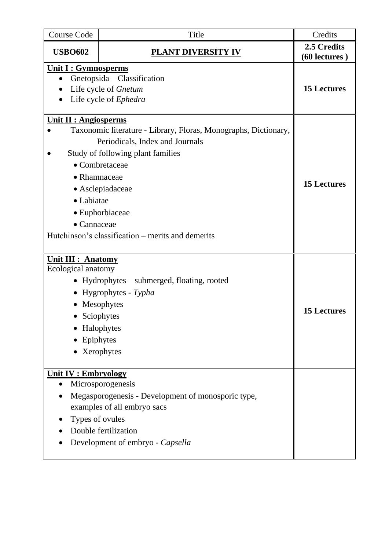| <b>Course Code</b>                                                                                          | Title                                                                                                                                                                                                                                                                 | Credits                      |
|-------------------------------------------------------------------------------------------------------------|-----------------------------------------------------------------------------------------------------------------------------------------------------------------------------------------------------------------------------------------------------------------------|------------------------------|
| <b>USBO602</b>                                                                                              | <b>PLANT DIVERSITY IV</b>                                                                                                                                                                                                                                             | 2.5 Credits<br>(60 lectures) |
| <b>Unit I : Gymnosperms</b><br>Gnetopsida - Classification<br>Life cycle of Gnetum<br>Life cycle of Ephedra |                                                                                                                                                                                                                                                                       | <b>15 Lectures</b>           |
| Unit II : Angiosperms<br>• Labiatae<br>• Cannaceae                                                          | Taxonomic literature - Library, Floras, Monographs, Dictionary,<br>Periodicals, Index and Journals<br>Study of following plant families<br>• Combretaceae<br>• Rhamnaceae<br>• Asclepiadaceae<br>• Euphorbiaceae<br>Hutchinson's classification – merits and demerits | <b>15 Lectures</b>           |
| Unit III : Anatomy<br>Ecological anatomy<br>$\bullet$                                                       | • Hydrophytes – submerged, floating, rooted<br>Hygrophytes - Typha<br>Mesophytes<br>Sciophytes<br>Halophytes<br>Epiphytes<br>Xerophytes                                                                                                                               | <b>15 Lectures</b>           |
| <b>Unit IV: Embryology</b><br>Types of ovules                                                               | Microsporogenesis<br>Megasporogenesis - Development of monosporic type,<br>examples of all embryo sacs<br>Double fertilization<br>Development of embryo - Capsella                                                                                                    |                              |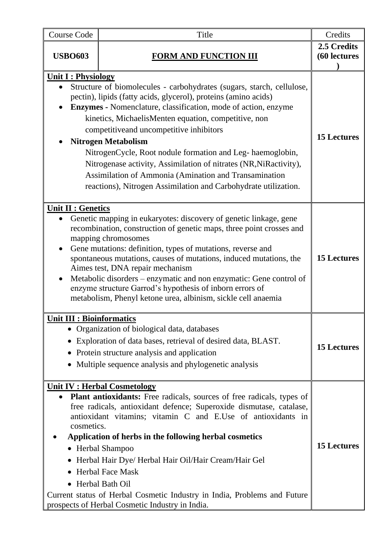| <b>Course Code</b>                                  | Title                                                                                                                                                                                                                                                                                                                                                                                                                                                                                                                                                                                                      | Credits                             |
|-----------------------------------------------------|------------------------------------------------------------------------------------------------------------------------------------------------------------------------------------------------------------------------------------------------------------------------------------------------------------------------------------------------------------------------------------------------------------------------------------------------------------------------------------------------------------------------------------------------------------------------------------------------------------|-------------------------------------|
| <b>USBO603</b>                                      | <b>FORM AND FUNCTION III</b>                                                                                                                                                                                                                                                                                                                                                                                                                                                                                                                                                                               | 2.5 Credits<br><b>(60 lectures)</b> |
| <b>Unit I: Physiology</b><br>$\bullet$<br>$\bullet$ | Structure of biomolecules - carbohydrates (sugars, starch, cellulose,<br>pectin), lipids (fatty acids, glycerol), proteins (amino acids)<br>Enzymes - Nomenclature, classification, mode of action, enzyme<br>kinetics, MichaelisMenten equation, competitive, non<br>competitive and uncompetitive inhibitors<br><b>Nitrogen Metabolism</b><br>NitrogenCycle, Root nodule formation and Leg-haemoglobin,<br>Nitrogenase activity, Assimilation of nitrates (NR, NiRactivity),<br>Assimilation of Ammonia (Amination and Transamination<br>reactions), Nitrogen Assimilation and Carbohydrate utilization. | <b>15 Lectures</b>                  |
| <b>Unit II : Genetics</b><br>$\bullet$<br>$\bullet$ | Genetic mapping in eukaryotes: discovery of genetic linkage, gene<br>recombination, construction of genetic maps, three point crosses and<br>mapping chromosomes<br>Gene mutations: definition, types of mutations, reverse and<br>spontaneous mutations, causes of mutations, induced mutations, the<br>Aimes test, DNA repair mechanism<br>Metabolic disorders – enzymatic and non enzymatic: Gene control of<br>enzyme structure Garrod's hypothesis of inborn errors of<br>metabolism, Phenyl ketone urea, albinism, sickle cell anaemia                                                               | <b>15 Lectures</b>                  |
| <b>Unit III : Bioinformatics</b>                    | • Organization of biological data, databases<br>Exploration of data bases, retrieval of desired data, BLAST.<br>Protein structure analysis and application<br>Multiple sequence analysis and phylogenetic analysis                                                                                                                                                                                                                                                                                                                                                                                         | <b>15 Lectures</b>                  |
| cosmetics.<br>$\bullet$                             | <b>Unit IV : Herbal Cosmetology</b><br><b>Plant antioxidants:</b> Free radicals, sources of free radicals, types of<br>free radicals, antioxidant defence; Superoxide dismutase, catalase,<br>antioxidant vitamins; vitamin C and E.Use of antioxidants in<br>Application of herbs in the following herbal cosmetics<br>• Herbal Shampoo<br>Herbal Hair Dye/ Herbal Hair Oil/Hair Cream/Hair Gel<br><b>Herbal Face Mask</b><br>Herbal Bath Oil<br>Current status of Herbal Cosmetic Industry in India, Problems and Future<br>prospects of Herbal Cosmetic Industry in India.                              | <b>15 Lectures</b>                  |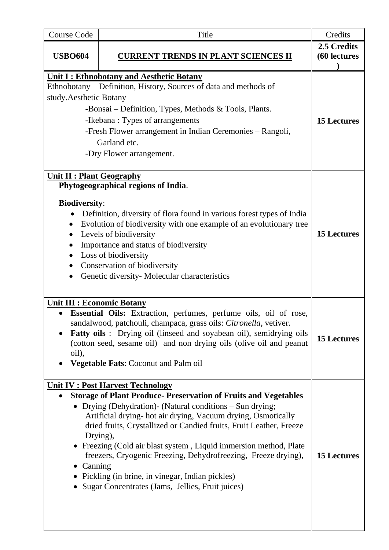| <b>Course Code</b>                                                                                                                                                                                                                                                                                                                                                                                                                                                                                                                                                                          | Title                                                                                                                                                                                                                                                                                                                                                         | Credits                     |
|---------------------------------------------------------------------------------------------------------------------------------------------------------------------------------------------------------------------------------------------------------------------------------------------------------------------------------------------------------------------------------------------------------------------------------------------------------------------------------------------------------------------------------------------------------------------------------------------|---------------------------------------------------------------------------------------------------------------------------------------------------------------------------------------------------------------------------------------------------------------------------------------------------------------------------------------------------------------|-----------------------------|
| <b>USBO604</b>                                                                                                                                                                                                                                                                                                                                                                                                                                                                                                                                                                              | <b>CURRENT TRENDS IN PLANT SCIENCES II</b>                                                                                                                                                                                                                                                                                                                    | 2.5 Credits<br>(60 lectures |
| Unit I: Ethnobotany and Aesthetic Botany<br>Ethnobotany – Definition, History, Sources of data and methods of<br>study. Aesthetic Botany<br>-Bonsai – Definition, Types, Methods & Tools, Plants.<br>-Ikebana: Types of arrangements<br>-Fresh Flower arrangement in Indian Ceremonies - Rangoli,<br>Garland etc.<br>-Dry Flower arrangement.                                                                                                                                                                                                                                               |                                                                                                                                                                                                                                                                                                                                                               | <b>15 Lectures</b>          |
| <b>Unit II : Plant Geography</b><br><b>Biodiversity:</b><br>$\bullet$<br>$\bullet$<br>$\bullet$<br>$\bullet$                                                                                                                                                                                                                                                                                                                                                                                                                                                                                | Phytogeographical regions of India.<br>Definition, diversity of flora found in various forest types of India<br>Evolution of biodiversity with one example of an evolutionary tree<br>Levels of biodiversity<br>Importance and status of biodiversity<br>Loss of biodiversity<br>Conservation of biodiversity<br>Genetic diversity- Molecular characteristics | <b>15 Lectures</b>          |
| <b>Unit III : Economic Botany</b><br><b>Essential Oils:</b> Extraction, perfumes, perfume oils, oil of rose,<br>sandalwood, patchouli, champaca, grass oils: Citronella, vetiver.<br><b>Fatty oils</b> : Drying oil (linseed and soyabean oil), semidrying oils<br>(cotton seed, sesame oil) and non drying oils (olive oil and peanut<br>oil),<br>Vegetable Fats: Coconut and Palm oil                                                                                                                                                                                                     |                                                                                                                                                                                                                                                                                                                                                               | <b>15 Lectures</b>          |
| <b>Unit IV: Post Harvest Technology</b><br><b>Storage of Plant Produce- Preservation of Fruits and Vegetables</b><br>• Drying (Dehydration)- (Natural conditions - Sun drying;<br>Artificial drying- hot air drying, Vacuum drying, Osmotically<br>dried fruits, Crystallized or Candied fruits, Fruit Leather, Freeze<br>Drying),<br>• Freezing (Cold air blast system, Liquid immersion method, Plate<br>freezers, Cryogenic Freezing, Dehydrofreezing, Freeze drying),<br>Canning<br>Pickling (in brine, in vinegar, Indian pickles)<br>Sugar Concentrates (Jams, Jellies, Fruit juices) |                                                                                                                                                                                                                                                                                                                                                               | <b>15 Lectures</b>          |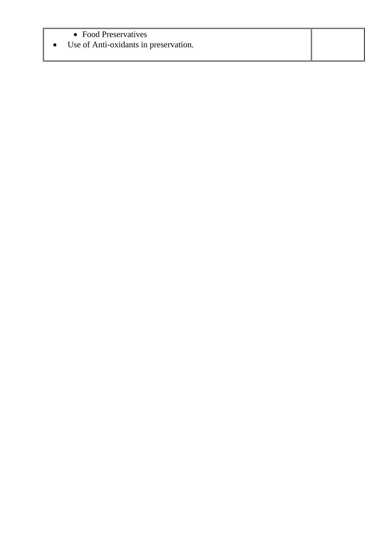| • Food Preservatives                  |  |
|---------------------------------------|--|
| Use of Anti-oxidants in preservation. |  |
|                                       |  |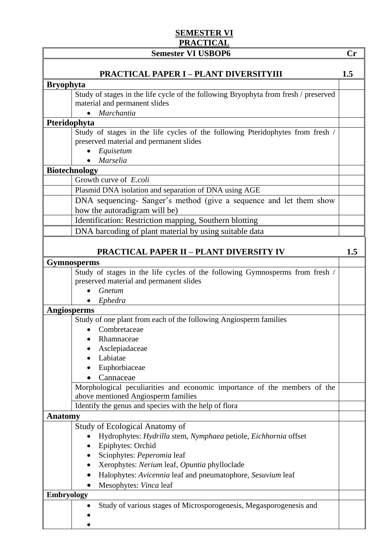# **SEMESTER VI PRACTICAL**

| <b>Semester VI USBOP6</b>                                                                                                                                                                                                                                                                            | $\mathbf{C}\mathbf{r}$ |
|------------------------------------------------------------------------------------------------------------------------------------------------------------------------------------------------------------------------------------------------------------------------------------------------------|------------------------|
| <b>PRACTICAL PAPER I - PLANT DIVERSITYIII</b>                                                                                                                                                                                                                                                        | 1.5                    |
| <b>Bryophyta</b>                                                                                                                                                                                                                                                                                     |                        |
| Study of stages in the life cycle of the following Bryophyta from fresh / preserved<br>material and permanent slides<br>Marchantia                                                                                                                                                                   |                        |
| Pteridophyta                                                                                                                                                                                                                                                                                         |                        |
| Study of stages in the life cycles of the following Pteridophytes from fresh /<br>preserved material and permanent slides<br>Equisetum<br>Marselia                                                                                                                                                   |                        |
| <b>Biotechnology</b>                                                                                                                                                                                                                                                                                 |                        |
| Growth curve of E.coli                                                                                                                                                                                                                                                                               |                        |
| Plasmid DNA isolation and separation of DNA using AGE                                                                                                                                                                                                                                                |                        |
| DNA sequencing-Sanger's method (give a sequence and let them show<br>how the autoradigram will be)                                                                                                                                                                                                   |                        |
| Identification: Restriction mapping, Southern blotting                                                                                                                                                                                                                                               |                        |
| DNA barcoding of plant material by using suitable data                                                                                                                                                                                                                                               |                        |
| <b>PRACTICAL PAPER II - PLANT DIVERSITY IV</b>                                                                                                                                                                                                                                                       | 1.5                    |
| <b>Gymnosperms</b>                                                                                                                                                                                                                                                                                   |                        |
| Study of stages in the life cycles of the following Gymnosperms from fresh /<br>preserved material and permanent slides<br>Gnetum<br>Ephedra                                                                                                                                                         |                        |
| Angiosperms                                                                                                                                                                                                                                                                                          |                        |
| Study of one plant from each of the following Angiosperm families<br>Combretaceae<br>Rhamnaceae<br>Asclepiadaceae<br>Labiatae<br>Euphorbiaceae<br>Cannaceae                                                                                                                                          |                        |
| Morphological peculiarities and economic importance of the members of the<br>above mentioned Angiosperm families                                                                                                                                                                                     |                        |
| Identify the genus and species with the help of flora                                                                                                                                                                                                                                                |                        |
| <b>Anatomy</b>                                                                                                                                                                                                                                                                                       |                        |
| <b>Study of Ecological Anatomy of</b><br>Hydrophytes: Hydrilla stem, Nymphaea petiole, Eichhornia offset<br>Epiphytes: Orchid<br>Sciophytes: Peperomia leaf<br>Xerophytes: Nerium leaf, Opuntia phylloclade<br>Halophytes: Avicennia leaf and pneumatophore, Sesuvium leaf<br>Mesophytes: Vinca leaf |                        |
| <b>Embryology</b>                                                                                                                                                                                                                                                                                    |                        |
| Study of various stages of Microsporogenesis, Megasporogenesis and                                                                                                                                                                                                                                   |                        |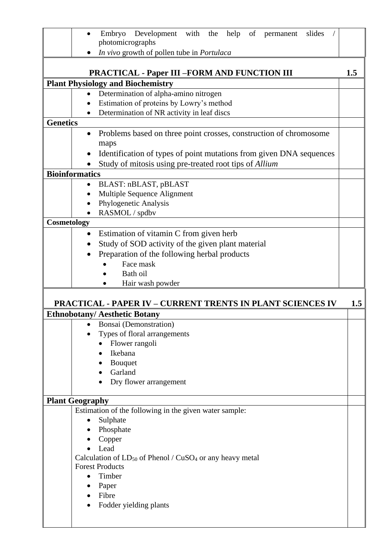|                    | Development with the help<br>of<br>slides<br>Embryo<br>permanent<br>photomicrographs<br>In vivo growth of pollen tube in Portulaca |     |
|--------------------|------------------------------------------------------------------------------------------------------------------------------------|-----|
|                    |                                                                                                                                    |     |
|                    | <b>PRACTICAL - Paper III -FORM AND FUNCTION III</b>                                                                                | 1.5 |
|                    | <b>Plant Physiology and Biochemistry</b>                                                                                           |     |
|                    | Determination of alpha-amino nitrogen                                                                                              |     |
|                    | Estimation of proteins by Lowry's method<br>$\bullet$<br>Determination of NR activity in leaf discs                                |     |
| <b>Genetics</b>    |                                                                                                                                    |     |
|                    | Problems based on three point crosses, construction of chromosome<br>$\bullet$                                                     |     |
|                    | maps                                                                                                                               |     |
|                    | Identification of types of point mutations from given DNA sequences                                                                |     |
|                    | Study of mitosis using pre-treated root tips of Allium                                                                             |     |
|                    | <b>Bioinformatics</b>                                                                                                              |     |
|                    | BLAST: nBLAST, pBLAST<br>$\bullet$                                                                                                 |     |
|                    | Multiple Sequence Alignment                                                                                                        |     |
|                    | Phylogenetic Analysis                                                                                                              |     |
|                    | RASMOL / spdbv<br>$\bullet$                                                                                                        |     |
| <b>Cosmetology</b> |                                                                                                                                    |     |
|                    | Estimation of vitamin C from given herb<br>$\bullet$                                                                               |     |
|                    | Study of SOD activity of the given plant material                                                                                  |     |
|                    | Preparation of the following herbal products                                                                                       |     |
|                    | Face mask                                                                                                                          |     |
|                    | Bath oil                                                                                                                           |     |
|                    | Hair wash powder                                                                                                                   |     |
|                    | <b>PRACTICAL - PAPER IV – CURRENT TRENTS IN PLANT SCIENCES IV</b>                                                                  | 1.5 |
|                    | <b>Ethnobotany/Aesthetic Botany</b>                                                                                                |     |
|                    | Bonsai (Demonstration)                                                                                                             |     |
|                    | Types of floral arrangements                                                                                                       |     |
|                    | Flower rangoli                                                                                                                     |     |
|                    | Ikebana                                                                                                                            |     |
|                    | Bouquet                                                                                                                            |     |
|                    | Garland                                                                                                                            |     |
|                    | Dry flower arrangement                                                                                                             |     |
|                    | <b>Plant Geography</b>                                                                                                             |     |
|                    | Estimation of the following in the given water sample:                                                                             |     |
|                    | Sulphate                                                                                                                           |     |
|                    | Phosphate                                                                                                                          |     |
|                    | Copper                                                                                                                             |     |
|                    | Lead                                                                                                                               |     |
|                    | Calculation of $LD_{50}$ of Phenol / $CuSO_4$ or any heavy metal                                                                   |     |
|                    | <b>Forest Products</b>                                                                                                             |     |
|                    | Timber<br>$\bullet$                                                                                                                |     |
|                    | Paper                                                                                                                              |     |
|                    | Fibre                                                                                                                              |     |
|                    | Fodder yielding plants                                                                                                             |     |
|                    |                                                                                                                                    |     |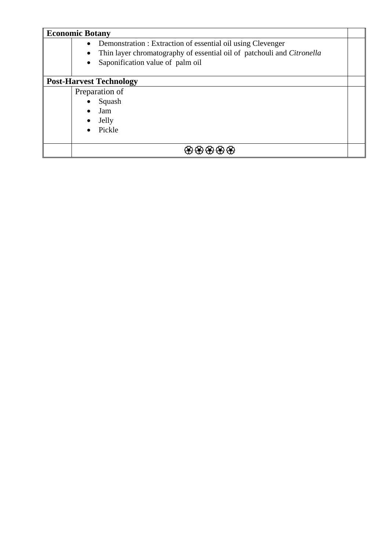| <b>Economic Botany</b>                                                 |  |
|------------------------------------------------------------------------|--|
| Demonstration : Extraction of essential oil using Clevenger            |  |
| Thin layer chromatography of essential oil of patchouli and Citronella |  |
| Saponification value of palm oil<br>٠                                  |  |
|                                                                        |  |
| <b>Post-Harvest Technology</b>                                         |  |
| Preparation of                                                         |  |
| Squash                                                                 |  |
| Jam                                                                    |  |
| Jelly                                                                  |  |
| Pickle                                                                 |  |
|                                                                        |  |
|                                                                        |  |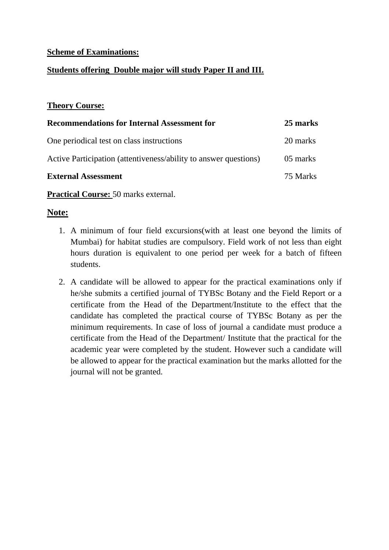### **Scheme of Examinations:**

### **Students offering Double major will study Paper II and III.**

### **Theory Course:**

| 25 marks |
|----------|
| 20 marks |
| 05 marks |
| 75 Marks |
|          |

### **Practical Course:** 50 marks external.

### **Note:**

- 1. A minimum of four field excursions(with at least one beyond the limits of Mumbai) for habitat studies are compulsory. Field work of not less than eight hours duration is equivalent to one period per week for a batch of fifteen students.
- 2. A candidate will be allowed to appear for the practical examinations only if he/she submits a certified journal of TYBSc Botany and the Field Report or a certificate from the Head of the Department/Institute to the effect that the candidate has completed the practical course of TYBSc Botany as per the minimum requirements. In case of loss of journal a candidate must produce a certificate from the Head of the Department/ Institute that the practical for the academic year were completed by the student. However such a candidate will be allowed to appear for the practical examination but the marks allotted for the journal will not be granted.